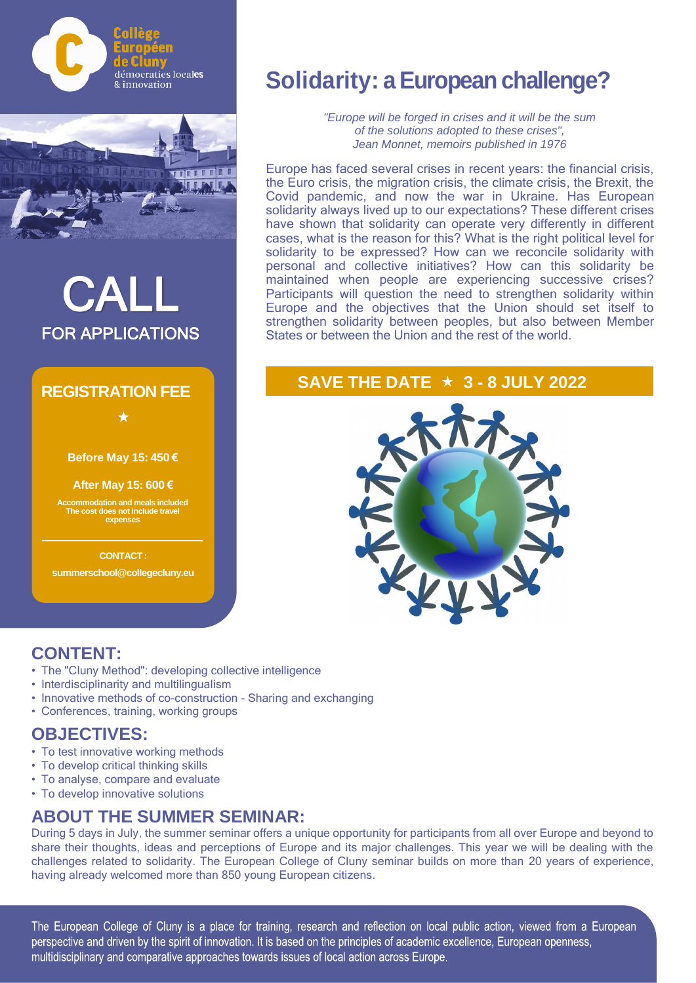



# PAN FOR APPLICATIONS

### **REGISTRATION FEE**

**Before May 15: 450 €** 

 $\bigstar$ 

**After May 15: 600 €**

**Accommodation and meals included The cost does not include travel expenses**

**CONTACT:**

**summerschool@collegecluny.eu**

### **Solidarity: a European challenge?**

*"Europe will be forged in crises and it will be the sum of the solutions adopted to these crises", Jean Monnet, memoirs published in 1976* 

Europe has faced several crises in recent years: the financial crisis, the Euro crisis, the migration crisis, the climate crisis, the Brexit, the Covid pandemic, and now the war in Ukraine. Has European solidarity always lived up to our expectations? These different crises have shown that solidarity can operate very differently in different cases, what is the reason for this? What is the right political level for solidarity to be expressed? How can we reconcile solidarity with personal and collective initiatives? How can this solidarity be maintained when people are experiencing successive crises? Participants will question the need to strengthen solidarity within Europe and the objectives that the Union should set itself to strengthen solidarity between peoples, but also between Member States or between the Union and the rest of the world.

### **SAVE THE DATE 3 - 8 JULY 2022**



### **CONTENT:**

- The "Cluny Method": developing collective intelligence
- Interdisciplinarity and multilingualism
- Innovative methods of co-construction Sharing and exchanging
- Conferences, training, working groups

#### **OBJECTIVES:**

- To test innovative working methods
- To develop critical thinking skills
- To analyse, compare and evaluate
- To develop innovative solutions

### **ABOUT THE SUMMER SEMINAR:**

During 5 days in July, the summer seminar offers a unique opportunity for participants from all over Europe and beyond to share their thoughts, ideas and perceptions of Europe and its major challenges. This year we will be dealing with the challenges related to solidarity. The European College of Cluny seminar builds on more than 20 years of experience, having already welcomed more than 850 young European citizens.

The European College of Cluny is a place for training, research and reflection on local public action, viewed from a European perspective and driven by the spirit of innovation. It is based on the principles of academic excellence, European openness, multidisciplinary and comparative approaches towards issues of local action across Europe.